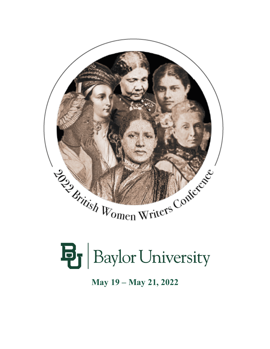

# **B** Baylor University

**May 19 – May 21, 2022**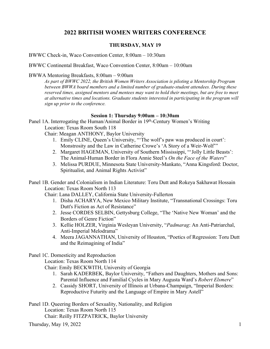## **2022 BRITISH WOMEN WRITERS CONFERENCE**

## **THURSDAY, MAY 19**

BWWC Check-in, Waco Convention Center, 8:00am – 10:30am

BWWC Continental Breakfast, Waco Convention Center, 8:00am – 10:00am

#### BWWA Mentoring Breakfasts, 8:00am – 9:00am

*As part of BWWC 2022, the British Women Writers Association is piloting a Mentorship Program between BWWA board members and a limited number of graduate-student attendees. During these reserved times, assigned mentors and mentees may want to hold their meetings, but are free to meet at alternative times and locations. Graduate students interested in participating in the program will sign up prior to the conference.*

#### **Session 1: Thursday 9:00am – 10:30am**

Panel 1A. Interrogating the Human/Animal Border in 19th-Century Women's Writing Location: Texas Room South 118

Chair: Meagan ANTHONY, Baylor University

- 1. Emily CLINE, Queen's University, "'The wolf's paw was produced in court': Monstrosity and the Law in Catherine Crowe's 'A Story of a Weir-Wolf'"
- 2. Margaret HAGEMAN, University of Southern Mississippi, "'Jolly Little Beasts': The Animal-Human Border in Flora Annie Steel's *On the Face of the Waters*"
- 3. Melissa PURDUE, Minnesota State University-Mankato, "Anna Kingsford: Doctor, Spiritualist, and Animal Rights Activist"

Panel 1B. Gender and Colonialism in Indian Literature: Toru Dutt and Rokeya Sakhawat Hossain Location: Texas Room North 113

Chair: Lana DALLEY, California State University-Fullerton

- 1. Disha ACHARYA, New Mexico Military Institute, "Transnational Crossings: Toru Dutt's Fiction as Act of Resistance"
- 2. Jesse CORDES SELBIN, Gettysburg College, "The 'Native New Woman' and the Borders of Genre Fiction"
- 3. Kellie HOLZER, Virginia Wesleyan University, "*Padmarag*: An Anti-Patriarchal, Anti-Imperial Melodrama"
- 4. Meera JAGANNATHAN, University of Houston, "Poetics of Regression: Toru Dutt and the Reimagining of India"

#### Panel 1C. Domesticity and Reproduction

Location: Texas Room North 114

Chair: Emily BECKWITH, University of Georgia

- 1. Sarah KADERBEK, Baylor University, "Fathers and Daughters, Mothers and Sons: Parental Influence and Familial Cycles in Mary Augusta Ward's *Robert Elsmere*"
- 2. Cassidy SHORT, University of Illinois at Urbana-Champaign, "Imperial Borders: Reproductive Futurity and the Language of Empire in Mary Astell"

Panel 1D. Queering Borders of Sexuality, Nationality, and Religion Location: Texas Room North 115 Chair: Reilly FITZPATRICK, Baylor University

 $Thursday, May 19, 2022$  1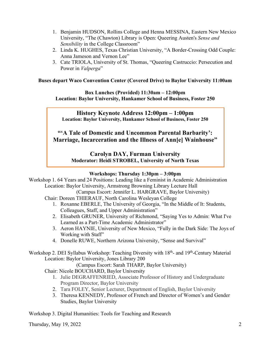- 1. Benjamin HUDSON, Rollins College and Henna MESSINA, Eastern New Mexico University, "The (Chawton) Library is Open: Queering Austen's *Sense and Sensibility* in the College Classroom"
- 2. Linda K. HUGHES, Texas Christian University, "A Border-Crossing Odd Couple: Anna Jameson and Vernon Lee"
- 3. Cate TRIOLA, University of St. Thomas, "Queering Castruccio: Persecution and Power in *Valperga*"

## **Buses depart Waco Convention Center (Covered Drive) to Baylor University 11:00am**

**Box Lunches (Provided) 11:30am – 12:00pm Location: Baylor University, Hankamer School of Business, Foster 250**

**History Keynote Address 12:00pm – 1:00pm Location: Baylor University, Hankamer School of Business, Foster 250**

**"'A Tale of Domestic and Uncommon Parental Barbarity': Marriage, Incarceration and the Illness of Ann[e] Wainhouse"**

> **Carolyn DAY, Furman University Moderator: Heidi STROBEL, University of North Texas**

## **Workshops: Thursday 1:30pm – 3:00pm**

Workshop 1. 64 Years and 24 Positions: Leading like a Feminist in Academic Administration Location: Baylor University, Armstrong Browning Library Lecture Hall

(Campus Escort: Jennifer L. HARGRAVE, Baylor University)

- Chair: Doreen THIERAUF, North Carolina Wesleyan College
	- 1. Roxanne EBERLE, The University of Georgia, "In the Middle of It: Students, Colleagues, Staff, and Upper Administration"
	- 2. Elisabeth GRUNER, University of Richmond, "Saying Yes to Admin: What I've Learned as a Part-Time Academic Administrator"
	- 3. Aeron HAYNIE, University of New Mexico, "Fully in the Dark Side: The Joys of Working with Staff"
	- 4. Donelle RUWE, Northern Arizona University, "Sense and Survival"

Workshop 2. DEI Syllabus Workshop: Teaching Diversity with 18<sup>th</sup>- and 19<sup>th</sup>-Century Material Location: Baylor University, Jones Library 200

(Campus Escort: Sarah THARP, Baylor University)

- Chair: Nicole BOUCHARD, Baylor University
	- 1. Julie DEGRAFFENRIED, Associate Professor of History and Undergraduate Program Director, Baylor University
	- 2. Tara FOLEY, Senior Lecturer, Department of English, Baylor University
	- 3. Theresa KENNEDY, Professor of French and Director of Women's and Gender Studies, Baylor University

Workshop 3. Digital Humanities: Tools for Teaching and Research

Thursday, May 19, 2022 2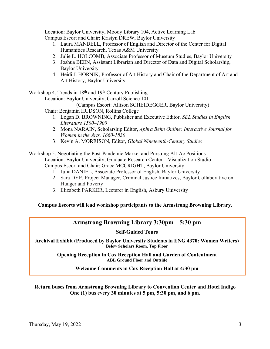Location: Baylor University, Moody Library 104, Active Learning Lab Campus Escort and Chair: Kristyn DREW, Baylor University

- 1. Laura MANDELL, Professor of English and Director of the Center for Digital Humanities Research, Texas A&M University
- 2. Julie L. HOLCOMB, Associate Professor of Museum Studies, Baylor University
- 3. Joshua BEEN, Assistant Librarian and Director of Data and Digital Scholarship, Baylor University
- 4. Heidi J. HORNIK, Professor of Art History and Chair of the Department of Art and Art History, Baylor University

Workshop 4. Trends in 18<sup>th</sup> and 19<sup>th</sup> Century Publishing

Location: Baylor University, Carroll Science 101

- (Campus Escort: Allison SCHEIDEGGER, Baylor University)
- Chair: Benjamin HUDSON, Rollins College
	- 1. Logan D. BROWNING, Publisher and Executive Editor, *SEL Studies in English Literature 1500–1900*
	- 2. Mona NARAIN, Scholarship Editor, *Aphra Behn Online: Interactive Journal for Women in the Arts, 1660-1830*
	- 3. Kevin A. MORRISON, Editor, *Global Nineteenth-Century Studies*

Workshop 5. Negotiating the Post-Pandemic Market and Pursuing Alt-Ac Positions Location: Baylor University, Graduate Research Center—Visualization Studio Campus Escort and Chair: Grace MCCRIGHT, Baylor University

- 1. Julia DANIEL, Associate Professor of English, Baylor University
- 2. Sara DYE, Project Manager, Criminal Justice Initiatives, Baylor Collaborative on Hunger and Poverty
- 3. Elizabeth PARKER, Lecturer in English, Asbury University

## **Campus Escorts will lead workshop participants to the Armstrong Browning Library.**

# **Armstrong Browning Library 3:30pm – 5:30 pm**

**Self-Guided Tours**

**Archival Exhibit (Produced by Baylor University Students in ENG 4370: Women Writers) Belew Scholars Room, Top Floor**

> **Opening Reception in Cox Reception Hall and Garden of Contentment ABL Ground Floor and Outside**

> > **Welcome Comments in Cox Reception Hall at 4:30 pm**

#### **Return buses from Armstrong Browning Library to Convention Center and Hotel Indigo One (1) bus every 30 minutes at 5 pm, 5:30 pm, and 6 pm.**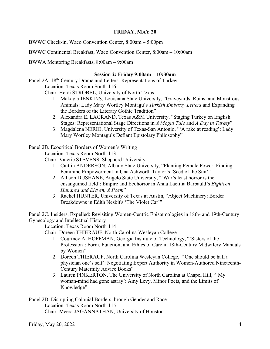#### **FRIDAY, MAY 20**

BWWC Check-in, Waco Convention Center, 8:00am – 5:00pm

BWWC Continental Breakfast, Waco Convention Center, 8:00am – 10:00am

BWWA Mentoring Breakfasts, 8:00am – 9:00am

#### **Session 2: Friday 9:00am – 10:30am**

Panel 2A. 18<sup>th</sup>-Century Drama and Letters: Representations of Turkey Location: Texas Room South 116

Chair: Heidi STROBEL, University of North Texas

- 1. Makayla JENKINS, Louisiana State University, "Graveyards, Ruins, and Monstrous Animals: Lady Mary Wortley Montagu's *Turkish Embassy Letters* and Expanding the Borders of the Literary Gothic Tradition"
- 2. Alexandra E. LAGRAND, Texas A&M University, "Staging Turkey on English Stages: Representational Stage Directions in *A Mogul Tale* and *A Day in Turkey*"
- 3. Magdalena NERIO, University of Texas-San Antonio, "'A rake at reading': Lady Mary Wortley Montagu's Defiant Epistolary Philosophy"

Panel 2B. Ecocritical Borders of Women's Writing

Location: Texas Room North 113

Chair: Valerie STEVENS, Shepherd University

- 1. Caitlin ANDERSON, Albany State University, "Planting Female Power: Finding Feminine Empowerment in Una Ashworth Taylor's 'Seed of the Sun'"
- 2. Allison DUSHANE, Angelo State University, "'War's least horror is the ensanguined field': Empire and Ecohorror in Anna Laetitia Barbauld's *Eighteen Hundred and Eleven, A Poem*"
- 3. Rachel HUNTER, University of Texas at Austin, "Abject Machinery: Border Breakdowns in Edith Nesbit's 'The Violet Car'"

Panel 2C. Insiders, Expelled: Revisiting Women-Centric Epistemologies in 18th- and 19th-Century Gynecology and Intellectual History

Location: Texas Room North 114

Chair: Doreen THIERAUF, North Carolina Wesleyan College

- 1. Courtney A. HOFFMAN, Georgia Institute of Technology, "'Sisters of the Profession': Form, Function, and Ethics of Care in 18th-Century Midwifery Manuals by Women"
- 2. Doreen THIERAUF, North Carolina Wesleyan College, "'One should be half a physician one's self': Negotiating Expert Authority in Women-Authored Nineteenth-Century Maternity Advice Books"
- 3. Lauren PINKERTON, The University of North Carolina at Chapel Hill, "'My woman-mind had gone astray': Amy Levy, Minor Poets, and the Limits of Knowledge"

Panel 2D. Disrupting Colonial Borders through Gender and Race Location: Texas Room North 115 Chair: Meera JAGANNATHAN, University of Houston

Friday, May 20, 2022 4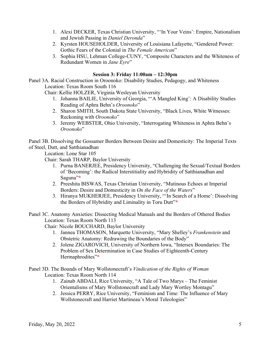- 1. Alexi DECKER, Texas Christian University, "'In Your Veins': Empire, Nationalism and Jewish Passing in *Daniel Deronda*"
- 2. Kyrsten HOUSEHOLDER, University of Louisiana Lafayette, "Gendered Power: Gothic Fears of the Colonial in *The Female American*"
- 3. Sophia HSU, Lehman College-CUNY, "Composite Characters and the Whiteness of Redundant Women in *Jane Eyre*"

#### **Session 3: Friday 11:00am – 12:30pm**

Panel 3A. Racial Construction in Oroonoko: Disability Studies, Pedagogy, and Whiteness Location: Texas Room South 116

Chair: Kellie HOLZER, Virginia Wesleyan University

- 1. Johanna BAILIE, University of Georgia, "'A Mangled King': A Disability Studies Reading of Aphra Behn's *Oroonoko*"
- 2. Sharon SMITH, South Dakota State University, "Black Lives, White Witnesses: Reckoning with *Oroonoko*"
- 3. Jeremy WEBSTER, Ohio University, "Interrogating Whiteness in Aphra Behn's *Oroonoko*"

Panel 3B. Dissolving the Gossamer Borders Between Desire and Domesticity: The Imperial Texts of Steel, Dutt, and Satthianadhan

Location: Lone Star 105

Chair: Sarah THARP, Baylor University

- 1. Purna BANERJEE, Presidency University, "Challenging the Sexual/Textual Borders of 'Becoming': the Radical Interstitiality and Hybridity of Satthianadhan and Saguna"**\***
- 2. Preeshita BISWAS, Texas Christian University, "Mutinous Echoes at Imperial Borders: Desire and Domesticity in *On the Face of the Waters*"
- 3. Hiranya MUKHERJEE, Presidency University, "'In Search of a Home': Dissolving the Borders of Hybridity and Liminality in Toru Dutt"**\***
- Panel 3C. Anatomy Anxieties: Dissecting Medical Manuals and the Borders of Othered Bodies Location: Texas Room North 113

Chair: Nicole BOUCHARD, Baylor University

- 1. Jannea THOMASON, Marquette University, "Mary Shelley's *Frankenstein* and Obstetric Anatomy: Redrawing the Boundaries of the Body"
- 2. Jolene ZIGAROVICH, University of Northern Iowa, "Intersex Boundaries: The Problem of Sex Determination in Case Studies of Eighteenth-Century Hermaphrodites"**\***

Panel 3D. The Bounds of Mary Wollstonecraft's *Vindication of the Rights of Woman* Location: Texas Room North 114

- 1. Zainab ABDALI, Rice University, "A Tale of Two Marys The Feminist Orientalisms of Mary Wollstonecraft and Lady Mary Wortley Montagu"
- 2. Jessica PERRY, Rice University, "Feminism and Time: The Influence of Mary Wollstonecraft and Harriet Martineau's Moral Teleologies"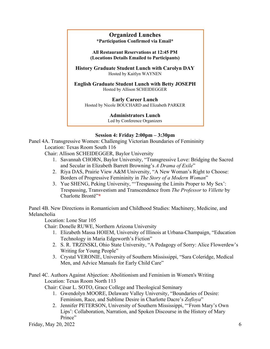## **Organized Lunches \*Participation Confirmed via Email\***

**All Restaurant Reservations at 12:45 PM (Locations Details Emailed to Participants)**

**History Graduate Student Lunch with Carolyn DAY** Hosted by Kaitlyn WAYNEN

**English Graduate Student Lunch with Betty JOSEPH** Hosted by Allison SCHEIDEGGER

**Early Career Lunch**

Hosted by Nicole BOUCHARD and Elizabeth PARKER

**Administrators Lunch**

Led by Conference Organizers

#### **Session 4: Friday 2:00pm – 3:30pm**

Panel 4A. Transgressive Women: Challenging Victorian Boundaries of Femininity Location: Texas Room South 116

Chair: Allison SCHEIDEGGER, Baylor University

- 1. Savannah CHORN, Baylor University, "Transgressive Love: Bridging the Sacred and Secular in Elizabeth Barrett Browning's *A Drama of Exile*"
- 2. Riya DAS, Prairie View A&M University, "A New Woman's Right to Choose: Borders of Progressive Femininity in *The Story of a Modern Woman*"
- 3. Yue SHENG, Peking University, "'Trespassing the Limits Proper to My Sex': Trespassing, Transvestism and Transcendence from *The Professor* to *Villette* by Charlotte Brontë"**\***

Panel 4B. New Directions in Romanticism and Childhood Studies: Machinery, Medicine, and Melancholia

Location: Lone Star 105

Chair: Donelle RUWE, Northern Arizona University

- 1. Elizabeth Massa HOIEM, University of Illinois at Urbana-Champaign, "Education Technology in Maria Edgeworth's Fiction"
- 2. S. R. TRZINSKI, Ohio State University, "A Pedagogy of Sorry: Alice Flowerdew's Writing for Young People"
- 3. Crystal VERONIE, University of Southern Mississippi, "Sara Coleridge, Medical Men, and Advice Manuals for Early Child Care"

Panel 4C. Authors Against Abjection: Abolitionism and Feminism in Women's Writing Location: Texas Room North 113

Chair: César L. SOTO, Grace College and Theological Seminary

- 1. Gwendolyn MOORE, Delaware Valley University, "Boundaries of Desire: Feminism, Race, and Sublime Desire in Charlotte Dacre's *Zofloya*"
- 2. Jennifer PETERSON, University of Southern Mississippi, "'From Mary's Own Lips': Collaboration, Narration, and Spoken Discourse in the History of Mary Prince"

Friday, May 20, 2022  $\qquad \qquad 6$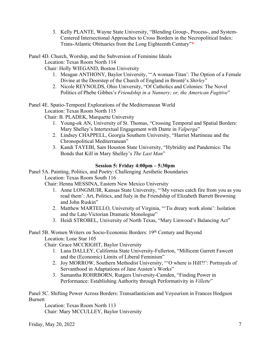3. Kelly PLANTE, Wayne State University, "Blending Group-, Process-, and System-Centered Intersectional Approaches to Cross Borders in the Necropolitical Index: Trans-Atlantic Obituaries from the Long Eighteenth Century"**\***

Panel 4D. Church, Worship, and the Subversion of Feminine Ideals

Location: Texas Room North 114

Chair: Holly WIEGAND, Boston University

- 1. Meagan ANTHONY, Baylor University, "'A woman-Titan': The Option of a Female Divine at the Doorstep of the Church of England in Brontë's *Shirley*"
- 2. Nicole REYNOLDS, Ohio University, "Of Catholics and Colonies: The Novel Politics of Phebe Gibbes's *Friendship in a Nunnery; or, the American Fugitive*"

Panel 4E. Spatio-Temporal Explorations of the Mediterranean World

Location: Texas Room North 115

Chair: B. PLADEK, Marquette University

- 1. Young-ok AN, University of St. Thomas, "Crossing Temporal and Spatial Borders: Mary Shelley's Intertextual Engagement with Dante in *Valperga*"
- 2. Lindsey CHAPPELL, Georgia Southern University, "Harriet Martineau and the Chronopolitical Mediterranean"
- 3. Kandi TAYEBI, Sam Houston State University, "Hybridity and Pandemics: The Bonds that Kill in Mary Shelley's *The Last Man*"

#### **Session 5: Friday 4:00pm – 5:30pm**

Panel 5A. Painting, Politics, and Poetry: Challenging Aesthetic Boundaries Location: Texas Room South 116

Chair: Henna MESSINA, Eastern New Mexico University

- 1. Anne LONGMUIR, Kansas State University, "'My verses catch fire from you as you read them': Art, Politics, and Italy in the Friendship of Elizabeth Barrett Browning and John Ruskin"
- 2. Matthew MARTELLO, University of Virginia, "'Tis dreary work alone': Isolation and the Late-Victorian Dramatic Monologue"
- 3. Heidi STROBEL, University of North Texas, "Mary Linwood's Balancing Act"

## Panel 5B. Women Writers on Socio-Economic Borders: 19th Century and Beyond Location: Lone Star 105

Chair: Grace MCCRIGHT, Baylor University

- 1. Lana DALLEY, California State University-Fullerton, "Millicent Garrett Fawcett and the (Economic) Limits of Liberal Feminism"
- 2. Joy MORROW, Southern Methodist University, "'O where is Hill?!': Portrayals of Servanthood in Adaptations of Jane Austen's Works"
- 3. Samantha ROHRBORN, Rutgers University-Camden, "Finding Power in Performance: Establishing Authority through Performativity in *Villette*"

Panel 5C. Shifting Power Across Borders: Transatlanticism and Voyeurism in Frances Hodgson **Burnett** 

Location: Texas Room North 113 Chair: Mary MCCULLEY, Baylor University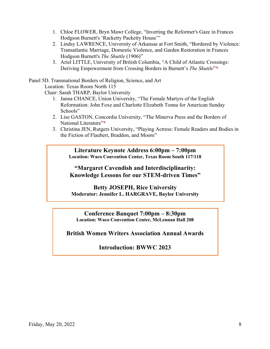- 1. Chloe FLOWER, Bryn Mawr College, "Inverting the Reformer's Gaze in Frances Hodgson Burnett's 'Racketty Packetty House'"
- 2. Lindsy LAWRENCE, University of Arkansas at Fort Smith, "Bordered by Violence: Transatlantic Marriage, Domestic Violence, and Garden Restoration in Frances Hodgson Burnett's *The Shuttle* (1906)"
- 3. Ariel LITTLE, University of British Columbia, "A Child of Atlantic Crossings: Deriving Empowerment from Crossing Borders in Burnett's *The Shuttle*"**\***

Panel 5D. Transnational Borders of Religion, Science, and Art

Location: Texas Room North 115

Chair: Sarah THARP, Baylor University

- 1. Janna CHANCE, Union University, "The Female Martyrs of the English Reformation: John Foxe and Charlotte Elizabeth Tonna for American Sunday Schools"
- 2. Lise GASTON, Concordia University, "The Minerva Press and the Borders of National Literature"**\***
- 3. Christina JEN, Rutgers University, "Playing Actress: Female Readers and Bodies in the Fiction of Flaubert, Braddon, and Moore"

**Literature Keynote Address 6:00pm – 7:00pm Location: Waco Convention Center, Texas Room South 117/118**

**"Margaret Cavendish and Interdisciplinarity: Knowledge Lessons for our STEM-driven Times"**

**Betty JOSEPH, Rice University Moderator: Jennifer L. HARGRAVE, Baylor University**

**Conference Banquet 7:00pm – 8:30pm Location: Waco Convention Center, McLennan Hall 208**

**British Women Writers Association Annual Awards**

**Introduction: BWWC 2023**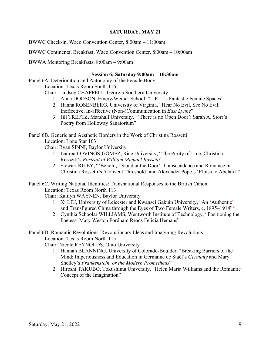#### **SATURDAY, MAY 21**

BWWC Check-in, Waco Convention Center, 8:00am – 11:00am

BWWC Continental Breakfast, Waco Convention Center, 8:00am – 10:00am

BWWA Mentoring Breakfasts, 8:00am – 9:00am

#### **Session 6: Saturday 9:00am – 10:30am**

Panel 6A. Deterioration and Autonomy of the Female Body

Location: Texas Room South 116

Chair: Lindsey CHAPPELL, Georgia Southern University

- 1. Anna DODSON, Emery/Weiner School, "L.E.L.'s Fantastic Female Spaces"
- 2. Hanna ROSENBERG, University of Virginia, "Hear No Evil, See No Evil: Ineffective, In-affective (Non-)Communication in *East Lynne*"
- 3. Jill TREFTZ, Marshall University, "'There is no Open Door': Sarah A. Storr's Poetry from Holloway Sanatorium"

Panel 6B. Generic and Aesthetic Borders in the Work of Christina Rossetti

Location: Lone Star 103

Chair: Ryan SINNI, Baylor University

- 1. Lauren LOVINGS-GOMEZ, Rice University, "The Purity of Line: Christina Rossetti's *Portrait of William Michael Rossetti*"
- 2. Stewart RILEY, "'Behold, I Stand at the Door': Transcendence and Romance in Christina Rossetti's 'Convent Threshold' and Alexander Pope's 'Eloisa to Abelard'"
- Panel 6C. Writing National Identities: Transnational Responses to the British Canon Location: Texas Room North 113

Chair: Kaitlyn WAYNEN, Baylor University

- 1. Xi LIU, University of Leicester and Kwansei Gakuin University, "An 'Authentic' and Transfigured China through the Eyes of Two Female Writers, c. 1895–1914"**\***
- 2. Cynthia Schoolar WILLIAMS, Wentworth Institute of Technology, "Positioning the Poetess: Mary Weston Fordham Reads Felicia Hemans"
- Panel 6D. Romantic Revolutions: Revolutionary Ideas and Imagining Revolutions Location: Texas Room North 115

Chair: Nicole REYNOLDS, Ohio University

- 1. Hannah BLANNING, University of Colorado-Boulder, "Breaking Barriers of the Mind: Imperiousness and Education in Germaine de Staël's *Germany* and Mary Shelley's *Frankenstein, or the Modern Prometheus*"
- 2. Hiroshi TAKUBO, Tokushima University, "Helen Maria Williams and the Romantic Concept of the Imagination"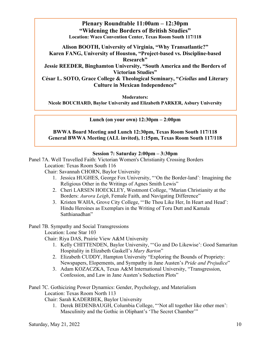## **Plenary Roundtable 11:00am – 12:30pm "Widening the Borders of British Studies" Location: Waco Convention Center, Texas Room South 117/118**

**Alison BOOTH, University of Virginia, "Why Transatlantic?" Karen FANG, University of Houston, "Project-based vs. Discipline-based Research"**

**Jessie REEDER, Binghamton University, "South America and the Borders of Victorian Studies"**

**César L. SOTO, Grace College & Theological Seminary, "***Criollas* **and Literary Culture in Mexican Independence"**

**Moderators:** 

**Nicole BOUCHARD, Baylor University and Elizabeth PARKER, Asbury University**

**Lunch (on your own) 12:30pm – 2:00pm**

**BWWA Board Meeting and Lunch 12:30pm, Texas Room South 117/118 General BWWA Meeting (ALL invited), 1:15pm, Texas Room South 117/118**

#### **Session 7: Saturday 2:00pm – 3:30pm**

Panel 7A. Well Travelled Faith: Victorian Women's Christianity Crossing Borders Location: Texas Room South 116

Chair: Savannah CHORN, Baylor University

- 1. Jessica HUGHES, George Fox University, "'On the Border-land': Imagining the Religious Other in the Writings of Agnes Smith Lewis"
- 2. Cheri LARSEN HOECKLEY, Westmont College, "Marian Christianity at the Borders: *Aurora Leigh*, Female Faith, and Navigating Difference"
- 3. Kristen WAHA, Grove City College, "'Be Thou Like Her, In Heart and Head': Hindu Heroines as Exemplars in the Writing of Toru Dutt and Kamala Satthianadhan"

Panel 7B. Sympathy and Social Transgressions

Location: Lone Star 103

Chair: Riya DAS, Prairie View A&M University

- 1. Kelly CHITTENDEN, Baylor University, "'Go and Do Likewise': Good Samaritan Hospitality in Elizabeth Gaskell's *Mary Barton*"
- 2. Elizabeth CUDDY, Hampton University "Exploring the Bounds of Propriety: Newspapers, Elopements, and Sympathy in Jane Austen's *Pride and Prejudice*"
- 3. Adam KOZACZKA, Texas A&M International University, "Transgression, Confession, and Law in Jane Austen's Seduction Plots"

Panel 7C. Gothicizing Power Dynamics: Gender, Psychology, and Materialism Location: Texas Room North 113

Chair: Sarah KADERBEK, Baylor University

1. Derek BEDENBAUGH, Columbia College, "'Not all together like other men': Masculinity and the Gothic in Oliphant's 'The Secret Chamber'"

Saturday, May 21, 2022 10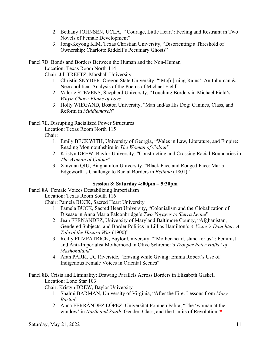- 2. Bethany JOHNSEN, UCLA, "'Courage, Little Heart': Feeling and Restraint in Two Novels of Female Development"
- 3. Jong-Keyong KIM, Texas Christian University, "Disorienting a Threshold of Ownership: Charlotte Riddell's Pecuniary Ghosts"

Panel 7D. Bonds and Borders Between the Human and the Non-Human

Location: Texas Room North 114

Chair: Jill TREFTZ, Marshall University

- 1. Christin SNYDER, Oregon State University, "'Mo[u]rning-Rains': An Inhuman & Necropolitical Analysis of the Poems of Michael Field"
- 2. Valerie STEVENS, Shepherd University, "Touching Borders in Michael Field's *Whym Chow: Flame of Love*"
- 3. Holly WIEGAND, Boston University, "Man and/as His Dog: Canines, Class, and Reform in *Middlemarch*"

## Panel 7E. Disrupting Racialized Power Structures

Location: Texas Room North 115

Chair:

- 1. Emily BECKWITH, University of Georgia, "Wales in Law, Literature, and Empire: Reading Monmouthshire in *The Woman of Colour*"
- 2. Kristyn DREW, Baylor University, "Constructing and Crossing Racial Boundaries in *The Woman of Colour*"
- 3. Xinyuan QIU, Binghamton University, "Black Face and Rouged Face: Maria Edgeworth's Challenge to Racial Borders in *Belinda* (1801)"

#### **Session 8: Saturday 4:00pm – 5:30pm**

Panel 8A. Female Voices Destabilizing Imperialism

Location: Texas Room South 116

Chair: Pamela BUCK, Sacred Heart University

- 1. Pamela BUCK, Sacred Heart University, "Colonialism and the Globalization of Disease in Anna Maria Falconbridge's *Two Voyages to Sierra Leone*"
- 2. Jean FERNANDEZ, University of Maryland Baltimore County, "Afghanistan, Gendered Subjects, and Border Politics in Lillias Hamilton's *A Vizier's Daughter: A Tale of the Hazara War* (1900)"
- 3. Reilly FITZPATRICK, Baylor University, "'Mother-heart, stand for us!': Feminist and Anti-Imperialist Motherhood in Olive Schreiner's *Trooper Peter Halket of Mashonaland*"
- 4. Aran PARK, UC Riverside, "Erasing while Giving: Emma Robert's Use of Indigenous Female Voices in Oriental Scenes"

Panel 8B. Crisis and Liminality: Drawing Parallels Across Borders in Elizabeth Gaskell Location: Lone Star 103

Chair: Kristyn DREW, Baylor University

- 1. Shalmi BARMAN, University of Virginia, "After the Fire: Lessons from *Mary Barton*"
- 2. Anna FERRÀNDEZ LÓPEZ, Universitat Pompeu Fabra, "The 'woman at the window' in *North and South*: Gender, Class, and the Limits of Revolution"**\***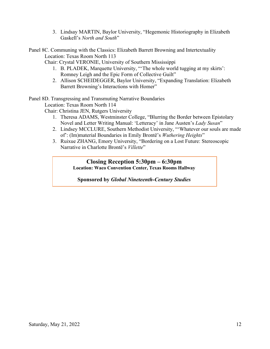3. Lindsay MARTIN, Baylor University, "Hegemonic Historiography in Elizabeth Gaskell's *North and South*"

Panel 8C. Communing with the Classics: Elizabeth Barrett Browning and Intertextuality Location: Texas Room North 113

Chair: Crystal VERONIE, University of Southern Mississippi

- 1. B. PLADEK, Marquette University, "'The whole world tugging at my skirts': Romney Leigh and the Epic Form of Collective Guilt"
- 2. Allison SCHEIDEGGER, Baylor University, "Expanding Translation: Elizabeth Barrett Browning's Interactions with Homer"

Panel 8D. Transgressing and Transmuting Narrative Boundaries

Location: Texas Room North 114

Chair: Christina JEN, Rutgers University

- 1. Theresa ADAMS, Westminster College, "Blurring the Border between Epistolary Novel and Letter Writing Manual: 'Letteracy' in Jane Austen's *Lady Susan*"
- 2. Lindsey MCCLURE, Southern Methodist University, "'Whatever our souls are made of': (Im)material Boundaries in Emily Brontë's *Wuthering Heights*"
- 3. Ruixue ZHANG, Emory University, "Bordering on a Lost Future: Stereoscopic Narrative in Charlotte Brontë's *Villette*"

#### **Closing Reception 5:30pm – 6:30pm Location: Waco Convention Center, Texas Rooms Hallway**

**Sponsored by** *Global Nineteenth-Century Studies*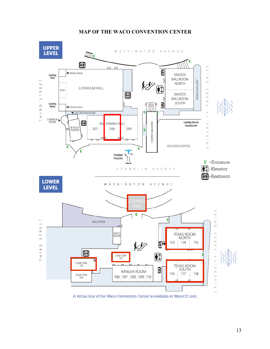### **MAP OF THE WACO CONVENTION CENTER**



A virtual tour of the Waco Convention Center is available at WacoCC.com.